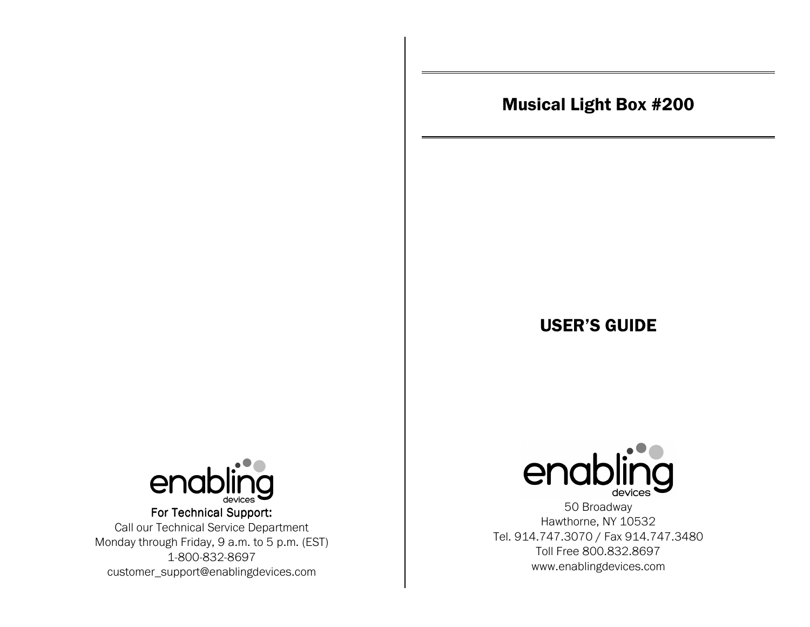# Musical Light Box #200

# USER'S GUIDE



For Technical Support: Call our Technical Service Department Monday through Friday, 9 a.m. to 5 p.m. (EST) 1-800-832-8697 customer\_support@enablingdevices.com



50 Broadway Hawthorne, NY 10532 Tel. 914.747.3070 / Fax 914.747.3480 Toll Free 800.832.8697 www.enablingdevices.com